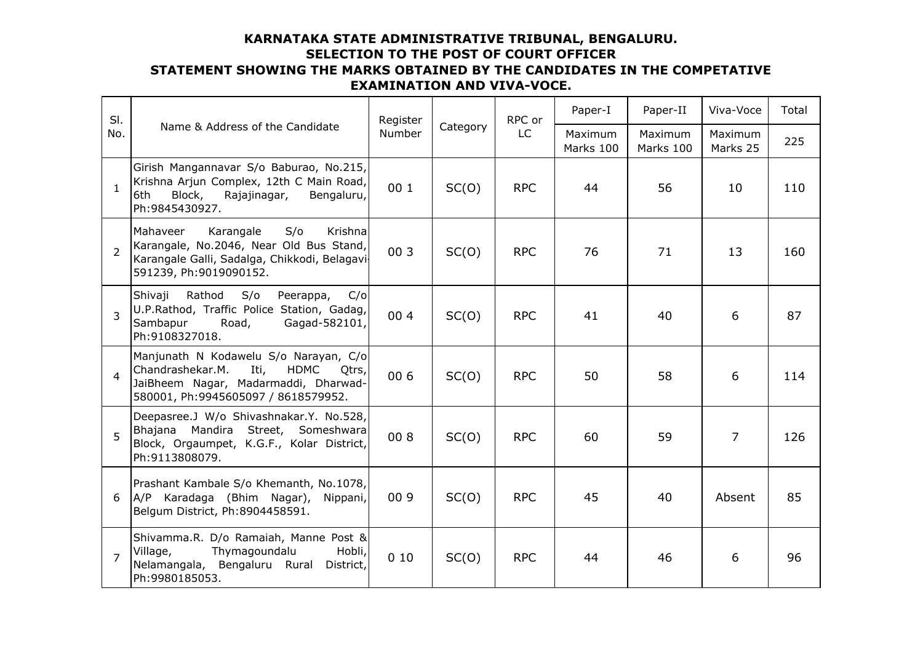## **KARNATAKA STATE ADMINISTRATIVE TRIBUNAL, BENGALURU. SELECTION TO THE POST OF COURT OFFICER STATEMENT SHOWING THE MARKS OBTAINED BY THE CANDIDATES IN THE COMPETATIVE EXAMINATION AND VIVA-VOCE.**

| SI.<br>No.     | Name & Address of the Candidate                                                                                                                                          | Register<br>Number | Category | RPC or<br><b>LC</b> | Paper-I              | Paper-II             | Viva-Voce           | Total |
|----------------|--------------------------------------------------------------------------------------------------------------------------------------------------------------------------|--------------------|----------|---------------------|----------------------|----------------------|---------------------|-------|
|                |                                                                                                                                                                          |                    |          |                     | Maximum<br>Marks 100 | Maximum<br>Marks 100 | Maximum<br>Marks 25 | 225   |
| 1              | Girish Mangannavar S/o Baburao, No.215,<br>Krishna Arjun Complex, 12th C Main Road,<br>Block,<br>Rajajinagar,<br>Bengaluru,<br>6th<br>Ph:9845430927.                     | 00 1               | SC(0)    | <b>RPC</b>          | 44                   | 56                   | 10                  | 110   |
| $\overline{2}$ | S/O<br>Karangale<br>Krishna<br>Mahaveer<br>Karangale, No.2046, Near Old Bus Stand,<br>Karangale Galli, Sadalga, Chikkodi, Belagavi<br>591239, Ph:9019090152.             | 00 3               | SC(0)    | <b>RPC</b>          | 76                   | 71                   | 13                  | 160   |
| 3              | Shivaji<br>Rathod<br>S/O<br>Peerappa,<br>C/O<br>U.P.Rathod, Traffic Police Station, Gadag,<br>Sambapur<br>Road,<br>Gagad-582101,<br>Ph: 9108327018.                      | 004                | SC(0)    | <b>RPC</b>          | 41                   | 40                   | 6                   | 87    |
| $\overline{4}$ | Manjunath N Kodawelu S/o Narayan, C/o<br>Chandrashekar.M.<br>Iti,<br><b>HDMC</b><br>Qtrs,<br>JaiBheem Nagar, Madarmaddi, Dharwad-<br>580001, Ph:9945605097 / 8618579952. | 00 6               | SC(0)    | <b>RPC</b>          | 50                   | 58                   | 6                   | 114   |
| 5              | Deepasree.J W/o Shivashnakar.Y. No.528,<br>Bhajana Mandira Street,<br>Someshwara<br>Block, Orgaumpet, K.G.F., Kolar District,<br>Ph:9113808079.                          | 008                | SC(0)    | <b>RPC</b>          | 60                   | 59                   | $\overline{7}$      | 126   |
| 6              | Prashant Kambale S/o Khemanth, No.1078,<br>A/P Karadaga (Bhim Nagar), Nippani,<br>Belgum District, Ph:8904458591.                                                        | 00 9               | SC(0)    | <b>RPC</b>          | 45                   | 40                   | Absent              | 85    |
| $\overline{7}$ | Shivamma.R. D/o Ramaiah, Manne Post &<br>Thymagoundalu<br>Hobli,<br>Village,<br>Nelamangala, Bengaluru Rural<br>District,<br>Ph:9980185053.                              | 010                | SC(0)    | <b>RPC</b>          | 44                   | 46                   | 6                   | 96    |